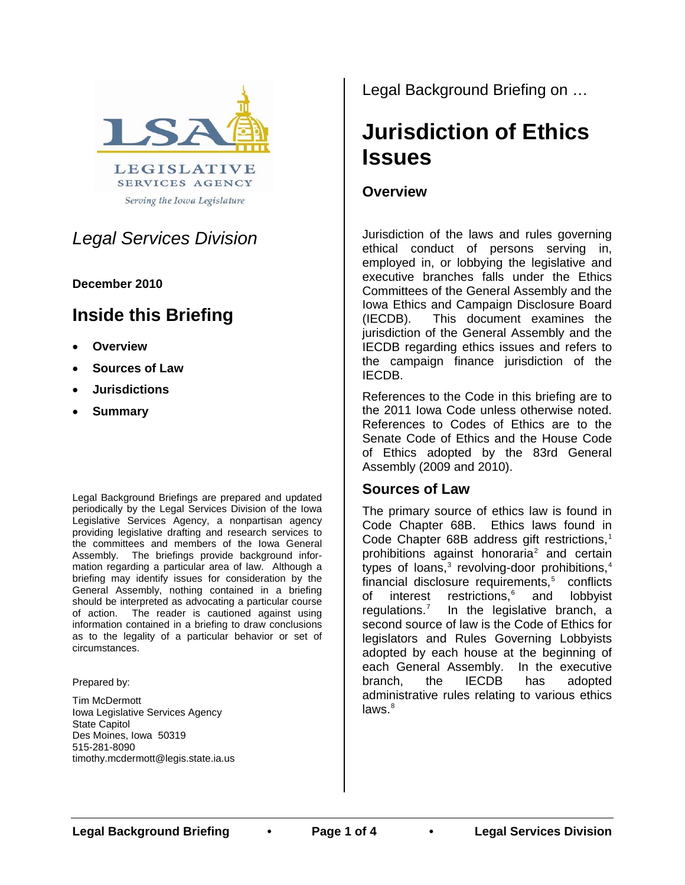

Serving the Iowa Legislature

# *Legal Services Division*

#### **December 2010**

# **Inside this Briefing**

- **Overview**
- **Sources of Law**
- **Jurisdictions**
- **Summary**

Legal Background Briefings are prepared and updated periodically by the Legal Services Division of the Iowa Legislative Services Agency, a nonpartisan agency providing legislative drafting and research services to the committees and members of the Iowa General Assembly. The briefings provide background information regarding a particular area of law. Although a briefing may identify issues for consideration by the General Assembly, nothing contained in a briefing should be interpreted as advocating a particular course of action. The reader is cautioned against using information contained in a briefing to draw conclusions as to the legality of a particular behavior or set of circumstances.

Prepared by:

Tim McDermott Iowa Legislative Services Agency State Capitol Des Moines, Iowa 50319 515-281-8090 timothy.mcdermott@legis.state.ia.us Legal Background Briefing on …

# **Jurisdiction of Ethics Issues**

# **Overview**

Jurisdiction of the laws and rules governing ethical conduct of persons serving in, employed in, or lobbying the legislative and executive branches falls under the Ethics Committees of the General Assembly and the Iowa Ethics and Campaign Disclosure Board (IECDB). This document examines the jurisdiction of the General Assembly and the IECDB regarding ethics issues and refers to the campaign finance jurisdiction of the IECDB.

References to the Code in this briefing are to the 2011 Iowa Code unless otherwise noted. References to Codes of Ethics are to the Senate Code of Ethics and the House Code of Ethics adopted by the 83rd General Assembly (2009 and 2010).

## **Sources of Law**

The primary source of ethics law is found in Code Chapter 68B. Ethics laws found in Code Chapter 68B address gift restrictions, $<sup>1</sup>$  $<sup>1</sup>$  $<sup>1</sup>$ </sup> prohibitions against honoraria<sup>[2](#page-2-1)</sup> and certain types of loans, $3$  revolving-door prohibitions, $4$ financial disclosure requirements,<sup>[5](#page-2-4)</sup> conflicts of interest restrictions,<sup>[6](#page-2-5)</sup> and lobbyist regulations.<sup>[7](#page-2-6)</sup> In the legislative branch, a second source of law is the Code of Ethics for legislators and Rules Governing Lobbyists adopted by each house at the beginning of each General Assembly. In the executive branch, the IECDB has adopted administrative rules relating to various ethics  $l$ aws. $8<sup>8</sup>$  $8<sup>8</sup>$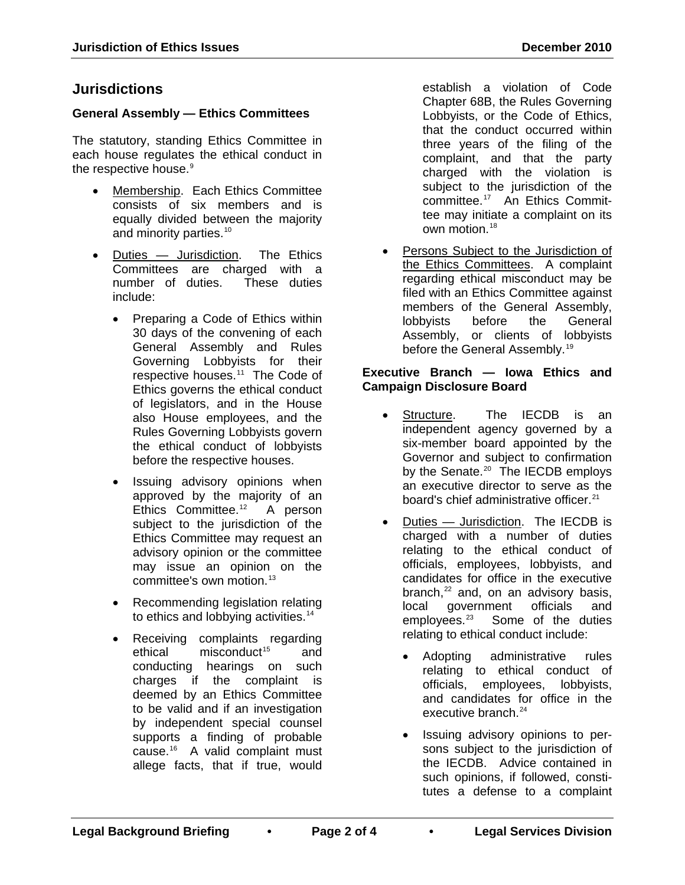## **Jurisdictions**

#### **General Assembly — Ethics Committees**

The statutory, standing Ethics Committee in each house regulates the ethical conduct in the respective house.<sup>[9](#page-2-8)</sup>

- Membership. Each Ethics Committee consists of six members and is equally divided between the majority and minority parties.<sup>[10](#page-2-9)</sup>
- Duties Jurisdiction. The Ethics Committees are charged with a number of duties. These duties include:
	- Preparing a Code of Ethics within 30 days of the convening of each General Assembly and Rules Governing Lobbyists for their respective houses.<sup>11</sup> The Code of Ethics governs the ethical conduct of legislators, and in the House also House employees, and the Rules Governing Lobbyists govern the ethical conduct of lobbyists before the respective houses.
	- Issuing advisory opinions when approved by the majority of an Ethics Committee.<sup>12</sup> A person subject to the jurisdiction of the Ethics Committee may request an advisory opinion or the committee may issue an opinion on the committee's own motion.<sup>[13](#page-2-12)</sup>
	- Recommending legislation relating to ethics and lobbying activities.<sup>[14](#page-2-13)</sup>
	- Receiving complaints regarding ethical misconduct<sup>[15](#page-2-14)</sup> and conducting hearings on such charges if the complaint is deemed by an Ethics Committee to be valid and if an investigation by independent special counsel supports a finding of probable cause.[16](#page-2-15) A valid complaint must allege facts, that if true, would

establish a violation of Code Chapter 68B, the Rules Governing Lobbyists, or the Code of Ethics, that the conduct occurred within three years of the filing of the complaint, and that the party charged with the violation is subject to the jurisdiction of the committee.[17](#page-2-16) An Ethics Committee may initiate a complaint on its own motion.<sup>[18](#page-2-17)</sup>

Persons Subject to the Jurisdiction of the Ethics Committees. A complaint regarding ethical misconduct may be filed with an Ethics Committee against members of the General Assembly,<br>lobbyists before the General lobbyists before the General Assembly, or clients of lobbyists before the General Assembly.<sup>[19](#page-3-0)</sup>

#### **Executive Branch — Iowa Ethics and Campaign Disclosure Board**

- Structure. The IECDB is an independent agency governed by a six-member board appointed by the Governor and subject to confirmation by the Senate.<sup>[20](#page-3-1)</sup> The IECDB employs an executive director to serve as the board's chief administrative officer.<sup>[21](#page-3-2)</sup>
- Duties Jurisdiction. The IECDB is charged with a number of duties relating to the ethical conduct of officials, employees, lobbyists, and candidates for office in the executive branch, $^{22}$  $^{22}$  $^{22}$  and, on an advisory basis. local government officials and<br>employees.<sup>23</sup> Some of the duties Some of the duties relating to ethical conduct include:
	- Adopting administrative rules relating to ethical conduct of officials, employees, lobbyists, and candidates for office in the executive branch.<sup>[24](#page-3-5)</sup>
	- Issuing advisory opinions to persons subject to the jurisdiction of the IECDB. Advice contained in such opinions, if followed, constitutes a defense to a complaint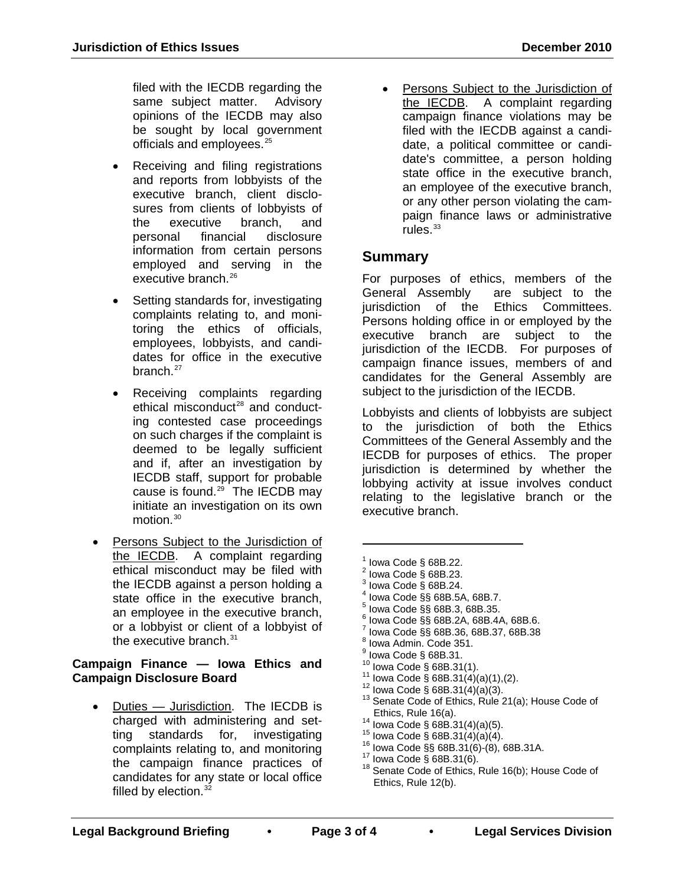filed with the IECDB regarding the same subject matter. Advisory opinions of the IECDB may also be sought by local government officials and employees.<sup>[25](#page-3-6)</sup>

- Receiving and filing registrations and reports from lobbyists of the executive branch, client disclosures from clients of lobbyists of the executive branch, and personal financial disclosure information from certain persons employed and serving in the executive branch.<sup>[26](#page-3-7)</sup>
- Setting standards for, investigating complaints relating to, and monitoring the ethics of officials, employees, lobbyists, and candidates for office in the executive branch.<sup>[27](#page-3-8)</sup>
- Receiving complaints regarding ethical misconduct<sup>[28](#page-3-9)</sup> and conducting contested case proceedings on such charges if the complaint is deemed to be legally sufficient and if, after an investigation by IECDB staff, support for probable cause is found.<sup>29</sup> The IECDB may initiate an investigation on its own motion.<sup>[30](#page-3-11)</sup>
- <span id="page-2-2"></span><span id="page-2-1"></span><span id="page-2-0"></span>Persons Subject to the Jurisdiction of the IECDB. A complaint regarding ethical misconduct may be filed with the IECDB against a person holding a state office in the executive branch, an employee in the executive branch, or a lobbyist or client of a lobbyist of the executive branch. $31$

#### <span id="page-2-12"></span><span id="page-2-11"></span><span id="page-2-10"></span><span id="page-2-9"></span><span id="page-2-8"></span><span id="page-2-7"></span><span id="page-2-6"></span><span id="page-2-5"></span><span id="page-2-4"></span><span id="page-2-3"></span>**Campaign Finance — Iowa Ethics and Campaign Disclosure Board**

<span id="page-2-17"></span><span id="page-2-16"></span><span id="page-2-15"></span><span id="page-2-14"></span><span id="page-2-13"></span>Duties - Jurisdiction. The IECDB is charged with administering and setting standards for, investigating complaints relating to, and monitoring the campaign finance practices of candidates for any state or local office filled by election. $32$ 

• Persons Subject to the Jurisdiction of the IECDB. A complaint regarding campaign finance violations may be filed with the IECDB against a candidate, a political committee or candidate's committee, a person holding state office in the executive branch, an employee of the executive branch, or any other person violating the campaign finance laws or administrative rules. $33$ 

### **Summary**

For purposes of ethics, members of the General Assembly are subject to the jurisdiction of the Ethics Committees. Persons holding office in or employed by the executive branch are subject to the jurisdiction of the IECDB. For purposes of campaign finance issues, members of and candidates for the General Assembly are subject to the jurisdiction of the IECDB.

Lobbyists and clients of lobbyists are subject to the jurisdiction of both the Ethics Committees of the General Assembly and the IECDB for purposes of ethics. The proper jurisdiction is determined by whether the lobbying activity at issue involves conduct relating to the legislative branch or the executive branch.

<sup>1</sup> Iowa Code § 68B.22.<br><sup>2</sup> Iowa Code § 68B.23.<br><sup>3</sup> Iowa Code § 68B.24.

 $\overline{a}$ 

- 
- 
- Iowa Code §§ 68B.5A, 68B.7.<br>Iowa Code §§ 68B.3, 68B.35.
- 
- $^{6}$  Iowa Code §§ 68B.2A, 68B.4A, 68B.6.
- <sup>7</sup> Iowa Code §§ 68B.36, 68B.37, 68B.38<br><sup>8</sup> Iowa Admin. Code 351.<br><sup>9</sup> Iowa Code § 68B.31.
- 
- 
- 
- 
- 
- 10 Iowa Code § 68B.31(1).<br>
<sup>11</sup> Iowa Code § 68B.31(4)(a)(1),(2).<br>
<sup>12</sup> Iowa Code § 68B.31(4)(a)(3).<br>
<sup>13</sup> Senate Code of Ethics, Rule 21(a); House Code of Ethics, Rule 16(a).
- 
- 
- 
- 
- <sup>14</sup> Iowa Code § 68B.31(4)(a)(5).<br><sup>15</sup> Iowa Code § 68B.31(4)(a)(4).<br><sup>16</sup> Iowa Code §§ 68B.31(6)-(8), 68B.31A.<br><sup>17</sup> Iowa Code § 68B.31(6).<br><sup>18</sup> Senate Code of Ethics, Rule 16(b); House Code of Ethics, Rule 12(b).